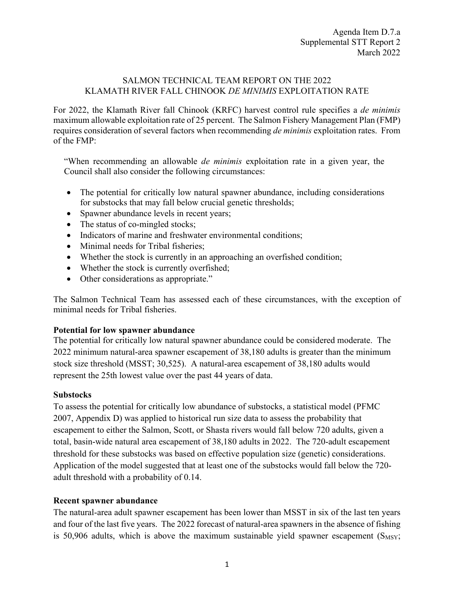## SALMON TECHNICAL TEAM REPORT ON THE 2022 KLAMATH RIVER FALL CHINOOK *DE MINIMIS* EXPLOITATION RATE

For 2022, the Klamath River fall Chinook (KRFC) harvest control rule specifies a *de minimis* maximum allowable exploitation rate of 25 percent. The Salmon Fishery Management Plan (FMP) requires consideration of several factors when recommending *de minimis* exploitation rates. From of the FMP:

"When recommending an allowable *de minimis* exploitation rate in a given year, the Council shall also consider the following circumstances:

- The potential for critically low natural spawner abundance, including considerations for substocks that may fall below crucial genetic thresholds;
- Spawner abundance levels in recent years;
- The status of co-mingled stocks;
- Indicators of marine and freshwater environmental conditions;
- Minimal needs for Tribal fisheries:
- Whether the stock is currently in an approaching an overfished condition;
- Whether the stock is currently overfished;
- Other considerations as appropriate."

The Salmon Technical Team has assessed each of these circumstances, with the exception of minimal needs for Tribal fisheries.

## **Potential for low spawner abundance**

The potential for critically low natural spawner abundance could be considered moderate. The 2022 minimum natural-area spawner escapement of 38,180 adults is greater than the minimum stock size threshold (MSST; 30,525). A natural-area escapement of 38,180 adults would represent the 25th lowest value over the past 44 years of data.

#### **Substocks**

To assess the potential for critically low abundance of substocks, a statistical model (PFMC 2007, Appendix D) was applied to historical run size data to assess the probability that escapement to either the Salmon, Scott, or Shasta rivers would fall below 720 adults, given a total, basin-wide natural area escapement of 38,180 adults in 2022. The 720-adult escapement threshold for these substocks was based on effective population size (genetic) considerations. Application of the model suggested that at least one of the substocks would fall below the 720 adult threshold with a probability of 0.14.

## **Recent spawner abundance**

The natural-area adult spawner escapement has been lower than MSST in six of the last ten years and four of the last five years. The 2022 forecast of natural-area spawners in the absence of fishing is 50,906 adults, which is above the maximum sustainable yield spawner escapement  $(S_{MSY};$